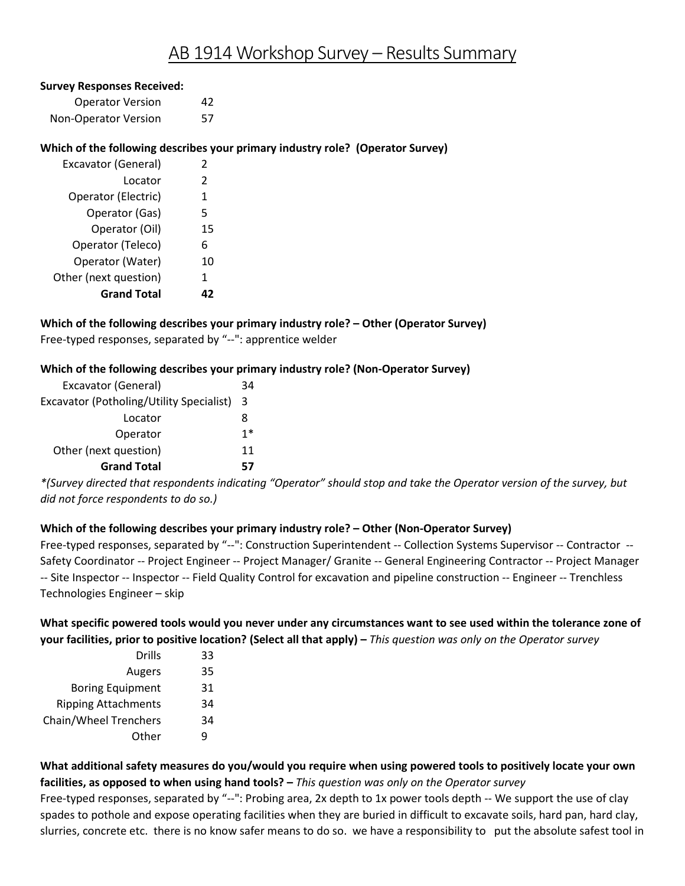# AB 1914 Workshop Survey – Results Summary

#### **Survey Responses Received:**

| <b>Operator Version</b> | 42 |
|-------------------------|----|
| Non-Operator Version    | 57 |

# **Which of the following describes your primary industry role? (Operator Survey)**

| Excavator (General)   | 2              |
|-----------------------|----------------|
| Locator               | $\mathfrak{p}$ |
| Operator (Electric)   | 1              |
| Operator (Gas)        | 5              |
| Operator (Oil)        | 15             |
| Operator (Teleco)     | 6              |
| Operator (Water)      | 10             |
| Other (next question) | 1              |
| <b>Grand Total</b>    |                |

 Free-typed responses, separated by "--": apprentice welder **Which of the following describes your primary industry role? – Other (Operator Survey)** 

#### **Which of the following describes your primary industry role? (Non-Operator Survey)**

| Excavator (General)                      | 34 |
|------------------------------------------|----|
| Excavator (Potholing/Utility Specialist) | 3  |
| Locator                                  | 8  |
| Operator                                 | 1* |
| Other (next question)                    | 11 |
| <b>Grand Total</b>                       |    |

*\*(Survey directed that respondents indicating "Operator" should stop and take the Operator version of the survey, but did not force respondents to do so.)* 

# **Which of the following describes your primary industry role? – Other (Non-Operator Survey)**

 Free-typed responses, separated by "--": Construction Superintendent -- Collection Systems Supervisor -- Contractor -- Technologies Engineer – skip Safety Coordinator -- Project Engineer -- Project Manager/ Granite -- General Engineering Contractor -- Project Manager -- Site Inspector -- Inspector -- Field Quality Control for excavation and pipeline construction -- Engineer -- Trenchless

# **your facilities, prior to positive location? (Select all that apply) –** *This question was only on the Operator survey*  **What specific powered tools would you never under any circumstances want to see used within the tolerance zone of**

| <b>Drills</b>                | 33 |
|------------------------------|----|
| Augers                       | 35 |
| <b>Boring Equipment</b>      | 31 |
| <b>Ripping Attachments</b>   | 34 |
| <b>Chain/Wheel Trenchers</b> | 34 |
| Other                        | q  |

 **facilities, as opposed to when using hand tools? –** *This question was only on the Operator survey*  **What additional safety measures do you/would you require when using powered tools to positively locate your own** 

 Free-typed responses, separated by "--": Probing area, 2x depth to 1x power tools depth -- We support the use of clay slurries, concrete etc. there is no know safer means to do so. we have a responsibility to put the absolute safest tool in spades to pothole and expose operating facilities when they are buried in difficult to excavate soils, hard pan, hard clay,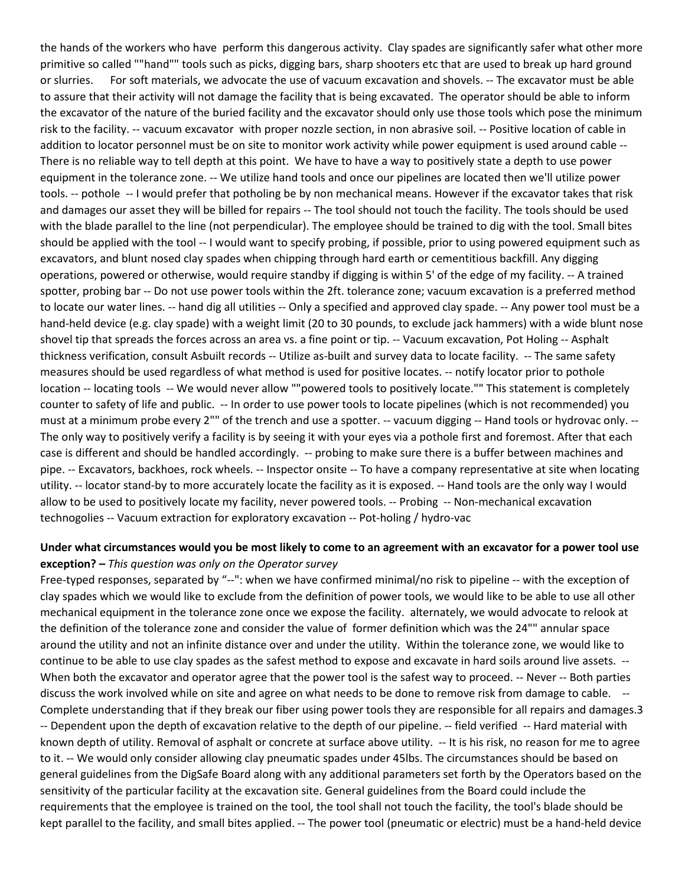the hands of the workers who have perform this dangerous activity. Clay spades are significantly safer what other more primitive so called ""hand"" tools such as picks, digging bars, sharp shooters etc that are used to break up hard ground or slurries. For soft materials, we advocate the use of vacuum excavation and shovels. -- The excavator must be able to assure that their activity will not damage the facility that is being excavated. The operator should be able to inform the excavator of the nature of the buried facility and the excavator should only use those tools which pose the minimum risk to the facility. -- vacuum excavator with proper nozzle section, in non abrasive soil. -- Positive location of cable in addition to locator personnel must be on site to monitor work activity while power equipment is used around cable -- There is no reliable way to tell depth at this point. We have to have a way to positively state a depth to use power equipment in the tolerance zone. -- We utilize hand tools and once our pipelines are located then we'll utilize power tools. -- pothole -- I would prefer that potholing be by non mechanical means. However if the excavator takes that risk and damages our asset they will be billed for repairs -- The tool should not touch the facility. The tools should be used with the blade parallel to the line (not perpendicular). The employee should be trained to dig with the tool. Small bites should be applied with the tool -- I would want to specify probing, if possible, prior to using powered equipment such as operations, powered or otherwise, would require standby if digging is within 5' of the edge of my facility. -- A trained hand-held device (e.g. clay spade) with a weight limit (20 to 30 pounds, to exclude jack hammers) with a wide blunt nose shovel tip that spreads the forces across an area vs. a fine point or tip. -- Vacuum excavation, Pot Holing -- Asphalt thickness verification, consult Asbuilt records -- Utilize as-built and survey data to locate facility. -- The same safety measures should be used regardless of what method is used for positive locates. -- notify locator prior to pothole location -- locating tools -- We would never allow ""powered tools to positively locate."" This statement is completely counter to safety of life and public. -- In order to use power tools to locate pipelines (which is not recommended) you must at a minimum probe every 2"" of the trench and use a spotter. -- vacuum digging -- Hand tools or hydrovac only. -- The only way to positively verify a facility is by seeing it with your eyes via a pothole first and foremost. After that each case is different and should be handled accordingly. -- probing to make sure there is a buffer between machines and utility. -- locator stand-by to more accurately locate the facility as it is exposed. -- Hand tools are the only way I would allow to be used to positively locate my facility, never powered tools. -- Probing -- Non-mechanical excavation technogolies -- Vacuum extraction for exploratory excavation -- Pot-holing / hydro-vac excavators, and blunt nosed clay spades when chipping through hard earth or cementitious backfill. Any digging spotter, probing bar -- Do not use power tools within the 2ft. tolerance zone; vacuum excavation is a preferred method to locate our water lines. -- hand dig all utilities -- Only a specified and approved clay spade. -- Any power tool must be a pipe. -- Excavators, backhoes, rock wheels. -- Inspector onsite -- To have a company representative at site when locating

## **Under what circumstances would you be most likely to come to an agreement with an excavator for a power tool use exception? –** *This question was only on the Operator survey*

 mechanical equipment in the tolerance zone once we expose the facility. alternately, we would advocate to relook at the definition of the tolerance zone and consider the value of former definition which was the 24"" annular space around the utility and not an infinite distance over and under the utility. Within the tolerance zone, we would like to continue to be able to use clay spades as the safest method to expose and excavate in hard soils around live assets. -- discuss the work involved while on site and agree on what needs to be done to remove risk from damage to cable. -- -- Dependent upon the depth of excavation relative to the depth of our pipeline. -- field verified -- Hard material with known depth of utility. Removal of asphalt or concrete at surface above utility. -- It is his risk, no reason for me to agree to it. -- We would only consider allowing clay pneumatic spades under 45lbs. The circumstances should be based on general guidelines from the DigSafe Board along with any additional parameters set forth by the Operators based on the kept parallel to the facility, and small bites applied. -- The power tool (pneumatic or electric) must be a hand-held device Free-typed responses, separated by "--": when we have confirmed minimal/no risk to pipeline -- with the exception of clay spades which we would like to exclude from the definition of power tools, we would like to be able to use all other When both the excavator and operator agree that the power tool is the safest way to proceed. -- Never -- Both parties Complete understanding that if they break our fiber using power tools they are responsible for all repairs and damages.3 sensitivity of the particular facility at the excavation site. General guidelines from the Board could include the requirements that the employee is trained on the tool, the tool shall not touch the facility, the tool's blade should be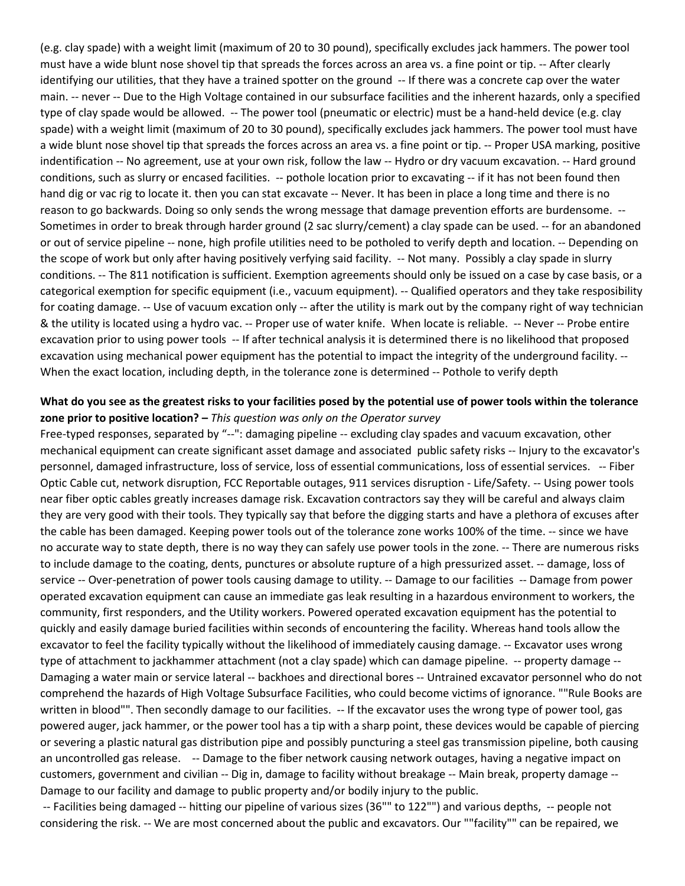(e.g. clay spade) with a weight limit (maximum of 20 to 30 pound), specifically excludes jack hammers. The power tool must have a wide blunt nose shovel tip that spreads the forces across an area vs. a fine point or tip. -- After clearly identifying our utilities, that they have a trained spotter on the ground -- If there was a concrete cap over the water type of clay spade would be allowed. -- The power tool (pneumatic or electric) must be a hand-held device (e.g. clay a wide blunt nose shovel tip that spreads the forces across an area vs. a fine point or tip. -- Proper USA marking, positive conditions, such as slurry or encased facilities. -- pothole location prior to excavating -- if it has not been found then hand dig or vac rig to locate it. then you can stat excavate -- Never. It has been in place a long time and there is no reason to go backwards. Doing so only sends the wrong message that damage prevention efforts are burdensome. -- or out of service pipeline -- none, high profile utilities need to be potholed to verify depth and location. -- Depending on the scope of work but only after having positively verfying said facility. -- Not many. Possibly a clay spade in slurry conditions. -- The 811 notification is sufficient. Exemption agreements should only be issued on a case by case basis, or a categorical exemption for specific equipment (i.e., vacuum equipment). -- Qualified operators and they take resposibility for coating damage. -- Use of vacuum excation only -- after the utility is mark out by the company right of way technician & the utility is located using a hydro vac. -- Proper use of water knife. When locate is reliable. -- Never -- Probe entire excavation prior to using power tools -- If after technical analysis it is determined there is no likelihood that proposed excavation using mechanical power equipment has the potential to impact the integrity of the underground facility. - main. -- never -- Due to the High Voltage contained in our subsurface facilities and the inherent hazards, only a specified spade) with a weight limit (maximum of 20 to 30 pound), specifically excludes jack hammers. The power tool must have indentification -- No agreement, use at your own risk, follow the law -- Hydro or dry vacuum excavation. -- Hard ground Sometimes in order to break through harder ground (2 sac slurry/cement) a clay spade can be used. -- for an abandoned When the exact location, including depth, in the tolerance zone is determined -- Pothole to verify depth

# **zone prior to positive location? –** *This question was only on the Operator survey*  **What do you see as the greatest risks to your facilities posed by the potential use of power tools within the tolerance**

 Free-typed responses, separated by "--": damaging pipeline -- excluding clay spades and vacuum excavation, other personnel, damaged infrastructure, loss of service, loss of essential communications, loss of essential services. -- Fiber Optic Cable cut, network disruption, FCC Reportable outages, 911 services disruption - Life/Safety. -- Using power tools near fiber optic cables greatly increases damage risk. Excavation contractors say they will be careful and always claim they are very good with their tools. They typically say that before the digging starts and have a plethora of excuses after no accurate way to state depth, there is no way they can safely use power tools in the zone. -- There are numerous risks to include damage to the coating, dents, punctures or absolute rupture of a high pressurized asset. -- damage, loss of service -- Over-penetration of power tools causing damage to utility. -- Damage to our facilities -- Damage from power community, first responders, and the Utility workers. Powered operated excavation equipment has the potential to quickly and easily damage buried facilities within seconds of encountering the facility. Whereas hand tools allow the type of attachment to jackhammer attachment (not a clay spade) which can damage pipeline. -- property damage - written in blood"". Then secondly damage to our facilities. -- If the excavator uses the wrong type of power tool, gas powered auger, jack hammer, or the power tool has a tip with a sharp point, these devices would be capable of piercing an uncontrolled gas release. -- Damage to the fiber network causing network outages, having a negative impact on Damage to our facility and damage to public property and/or bodily injury to the public. mechanical equipment can create significant asset damage and associated public safety risks -- Injury to the excavator's the cable has been damaged. Keeping power tools out of the tolerance zone works 100% of the time. -- since we have operated excavation equipment can cause an immediate gas leak resulting in a hazardous environment to workers, the excavator to feel the facility typically without the likelihood of immediately causing damage. -- Excavator uses wrong Damaging a water main or service lateral -- backhoes and directional bores -- Untrained excavator personnel who do not comprehend the hazards of High Voltage Subsurface Facilities, who could become victims of ignorance. ""Rule Books are or severing a plastic natural gas distribution pipe and possibly puncturing a steel gas transmission pipeline, both causing customers, government and civilian -- Dig in, damage to facility without breakage -- Main break, property damage --

 -- Facilities being damaged -- hitting our pipeline of various sizes (36"" to 122"") and various depths, -- people not considering the risk. -- We are most concerned about the public and excavators. Our ""facility"" can be repaired, we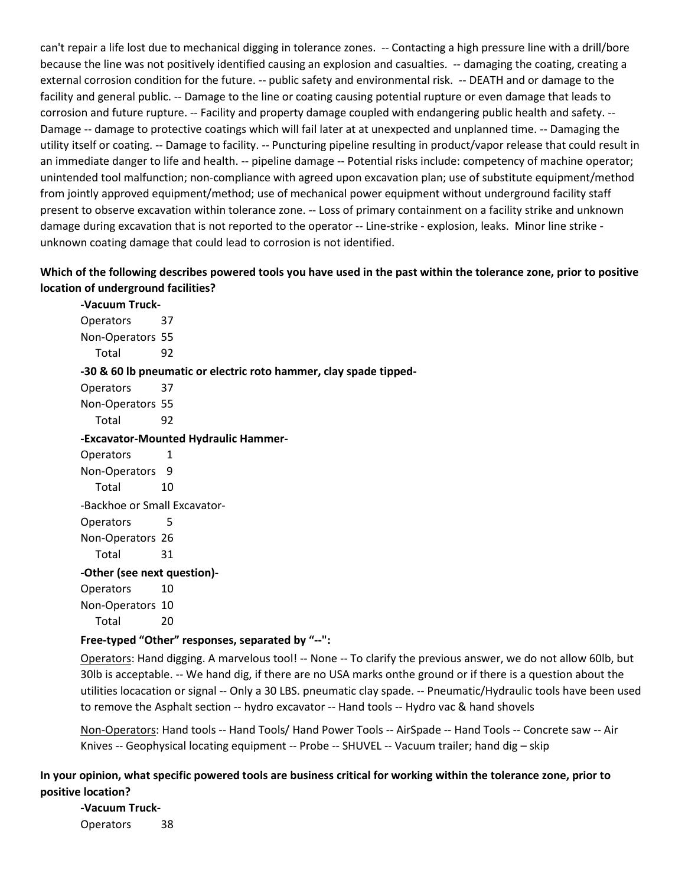can't repair a life lost due to mechanical digging in tolerance zones. -- Contacting a high pressure line with a drill/bore because the line was not positively identified causing an explosion and casualties. -- damaging the coating, creating a external corrosion condition for the future. -- public safety and environmental risk. -- DEATH and or damage to the corrosion and future rupture. -- Facility and property damage coupled with endangering public health and safety. -- Damage -- damage to protective coatings which will fail later at at unexpected and unplanned time. -- Damaging the utility itself or coating. -- Damage to facility. -- Puncturing pipeline resulting in product/vapor release that could result in an immediate danger to life and health. -- pipeline damage -- Potential risks include: competency of machine operator; from jointly approved equipment/method; use of mechanical power equipment without underground facility staff present to observe excavation within tolerance zone. -- Loss of primary containment on a facility strike and unknown damage during excavation that is not reported to the operator -- Line-strike - explosion, leaks. Minor line strike facility and general public. -- Damage to the line or coating causing potential rupture or even damage that leads to unintended tool malfunction; non-compliance with agreed upon excavation plan; use of substitute equipment/method unknown coating damage that could lead to corrosion is not identified.

# **Which of the following describes powered tools you have used in the past within the tolerance zone, prior to positive location of underground facilities?**

 Operators 37 Non-Operators 55  **-30 & 60 lb pneumatic or electric roto hammer, clay spade tipped-** Non-Operators 55 Non-Operators 9 Non-Operators 26 Operators 10 Non-Operators 10 **-Vacuum Truck-**Total 92 Operators 37 Total 92 **-Excavator-Mounted Hydraulic Hammer-**Operators 1 Total 10 -Backhoe or Small Excavator-Operators 5 Total 31 **-Other (see next question)-** Total 20

 **Free-typed "Other" responses, separated by "--":** 

Operators: Hand digging. A marvelous tool! -- None -- To clarify the previous answer, we do not allow 60lb, but utilities locacation or signal -- Only a 30 LBS. pneumatic clay spade. -- Pneumatic/Hydraulic tools have been used to remove the Asphalt section -- hydro excavator -- Hand tools -- Hydro vac & hand shovels 30lb is acceptable. -- We hand dig, if there are no USA marks onthe ground or if there is a question about the

 Non-Operators: Hand tools -- Hand Tools/ Hand Power Tools -- AirSpade -- Hand Tools -- Concrete saw -- Air Knives -- Geophysical locating equipment -- Probe -- SHUVEL -- Vacuum trailer; hand dig – skip

# **In your opinion, what specific powered tools are business critical for working within the tolerance zone, prior to positive location?**

 Operators 38 **-Vacuum Truck-**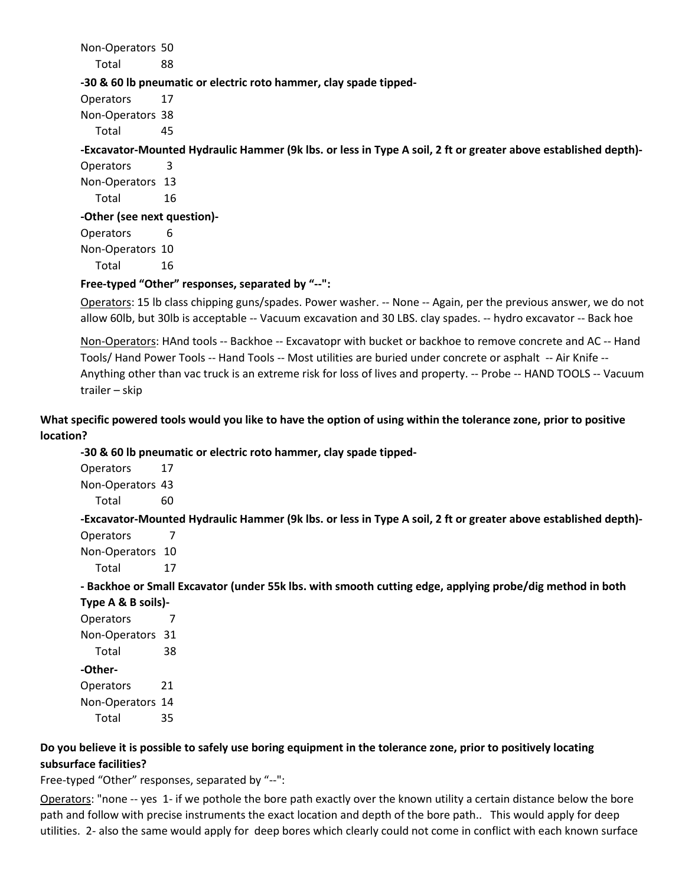Non-Operators 50

Total 88

## **-30 & 60 lb pneumatic or electric roto hammer, clay spade tipped-**

Operators 17 Non-Operators 38 Total 45

# **-Excavator-Mounted Hydraulic Hammer (9k lbs. or less in Type A soil, 2 ft or greater above established depth)-**

Operators 3 Non-Operators 13 Total 16 **-Other (see next question)-** Operators 6 Non-Operators 10

Total 16

# **Free-typed "Other" responses, separated by "--":**

Operators: 15 lb class chipping guns/spades. Power washer. -- None -- Again, per the previous answer, we do not allow 60lb, but 30lb is acceptable -- Vacuum excavation and 30 LBS. clay spades. -- hydro excavator -- Back hoe

Non-Operators: HAnd tools -- Backhoe -- Excavatopr with bucket or backhoe to remove concrete and AC -- Hand Tools/ Hand Power Tools -- Hand Tools -- Most utilities are buried under concrete or asphalt -- Air Knife -- Anything other than vac truck is an extreme risk for loss of lives and property. -- Probe -- HAND TOOLS -- Vacuum trailer – skip

# **What specific powered tools would you like to have the option of using within the tolerance zone, prior to positive location?**

**-30 & 60 lb pneumatic or electric roto hammer, clay spade tipped-**

Operators 17 Non-Operators 43

Total 60

**-Excavator-Mounted Hydraulic Hammer (9k lbs. or less in Type A soil, 2 ft or greater above established depth)-** Operators 7

Non-Operators 10

Total 17

**- Backhoe or Small Excavator (under 55k lbs. with smooth cutting edge, applying probe/dig method in both** 

**Type A & B soils)-** Operators 7 Non-Operators 31 Total 38 **-Other-**Operators 21 Non-Operators 14 Total 35

# **Do you believe it is possible to safely use boring equipment in the tolerance zone, prior to positively locating subsurface facilities?**

Free-typed "Other" responses, separated by "--":

 path and follow with precise instruments the exact location and depth of the bore path.. This would apply for deep utilities. 2- also the same would apply for deep bores which clearly could not come in conflict with each known surface Operators: "none -- yes 1- if we pothole the bore path exactly over the known utility a certain distance below the bore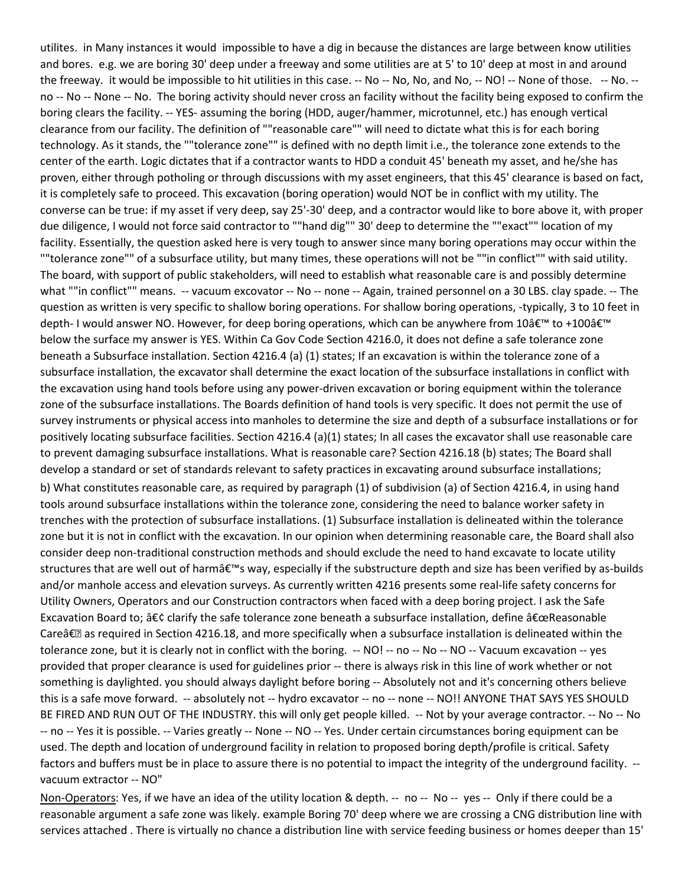the freeway. it would be impossible to hit utilities in this case. -- No -- No, No, and No, -- NO! -- None of those. -- No. -- boring clears the facility. -- YES- assuming the boring (HDD, auger/hammer, microtunnel, etc.) has enough vertical clearance from our facility. The definition of ""reasonable care"" will need to dictate what this is for each boring center of the earth. Logic dictates that if a contractor wants to HDD a conduit 45' beneath my asset, and he/she has proven, either through potholing or through discussions with my asset engineers, that this 45' clearance is based on fact, due diligence, I would not force said contractor to ""hand dig"" 30' deep to determine the ""exact"" location of my facility. Essentially, the question asked here is very tough to answer since many boring operations may occur within the ""tolerance zone"" of a subsurface utility, but many times, these operations will not be ""in conflict"" with said utility. what ""in conflict"" means. -- vacuum excovator -- No -- none -- Again, trained personnel on a 30 LBS. clay spade. -- The question as written is very specific to shallow boring operations. For shallow boring operations, -typically, 3 to 10 feet in depth- I would answer NO. However, for deep boring operations, which can be anywhere from 10' to +100' below the surface my answer is YES. Within Ca Gov Code Section 4216.0, it does not define a safe tolerance zone zone of the subsurface installations. The Boards definition of hand tools is very specific. It does not permit the use of to prevent damaging subsurface installations. What is reasonable care? Section 4216.18 (b) states; The Board shall trenches with the protection of subsurface installations. (1) Subsurface installation is delineated within the tolerance zone but it is not in conflict with the excavation. In our opinion when determining reasonable care, the Board shall also structures that are well out of harm's way, especially if the substructure depth and size has been verified by as-builds Utility Owners, Operators and our Construction contractors when faced with a deep boring project. I ask the Safe Careâ€<sup>®</sup> as required in Section 4216.18, and more specifically when a subsurface installation is delineated within the tolerance zone, but it is clearly not in conflict with the boring. -- NO! -- no -- No -- NO -- Vacuum excavation -- yes provided that proper clearance is used for guidelines prior -- there is always risk in this line of work whether or not this is a safe move forward. -- absolutely not -- hydro excavator -- no -- none -- NO!! ANYONE THAT SAYS YES SHOULD BE FIRED AND RUN OUT OF THE INDUSTRY. this will only get people killed. -- Not by your average contractor. -- No -- No -- no -- Yes it is possible. -- Varies greatly -- None -- NO -- Yes. Under certain circumstances boring equipment can be used. The depth and location of underground facility in relation to proposed boring depth/profile is critical. Safety factors and buffers must be in place to assure there is no potential to impact the integrity of the underground facility. -- vacuum extractor -- NO" utilites. in Many instances it would impossible to have a dig in because the distances are large between know utilities and bores. e.g. we are boring 30' deep under a freeway and some utilities are at 5' to 10' deep at most in and around no -- No -- None -- No. The boring activity should never cross an facility without the facility being exposed to confirm the technology. As it stands, the ""tolerance zone"" is defined with no depth limit i.e., the tolerance zone extends to the it is completely safe to proceed. This excavation (boring operation) would NOT be in conflict with my utility. The converse can be true: if my asset if very deep, say 25'-30' deep, and a contractor would like to bore above it, with proper The board, with support of public stakeholders, will need to establish what reasonable care is and possibly determine beneath a Subsurface installation. Section 4216.4 (a) (1) states; If an excavation is within the tolerance zone of a subsurface installation, the excavator shall determine the exact location of the subsurface installations in conflict with the excavation using hand tools before using any power-driven excavation or boring equipment within the tolerance survey instruments or physical access into manholes to determine the size and depth of a subsurface installations or for positively locating subsurface facilities. Section 4216.4 (a)(1) states; In all cases the excavator shall use reasonable care develop a standard or set of standards relevant to safety practices in excavating around subsurface installations; b) What constitutes reasonable care, as required by paragraph (1) of subdivision (a) of Section 4216.4, in using hand tools around subsurface installations within the tolerance zone, considering the need to balance worker safety in consider deep non-traditional construction methods and should exclude the need to hand excavate to locate utility and/or manhole access and elevation surveys. As currently written 4216 presents some real-life safety concerns for Excavation Board to; • clarify the safe tolerance zone beneath a subsurface installation, define "Reasonable something is daylighted. you should always daylight before boring -- Absolutely not and it's concerning others believe

Non-Operators: Yes, if we have an idea of the utility location & depth. -- no -- No -- yes -- Only if there could be a reasonable argument a safe zone was likely. example Boring 70' deep where we are crossing a CNG distribution line with services attached . There is virtually no chance a distribution line with service feeding business or homes deeper than 15'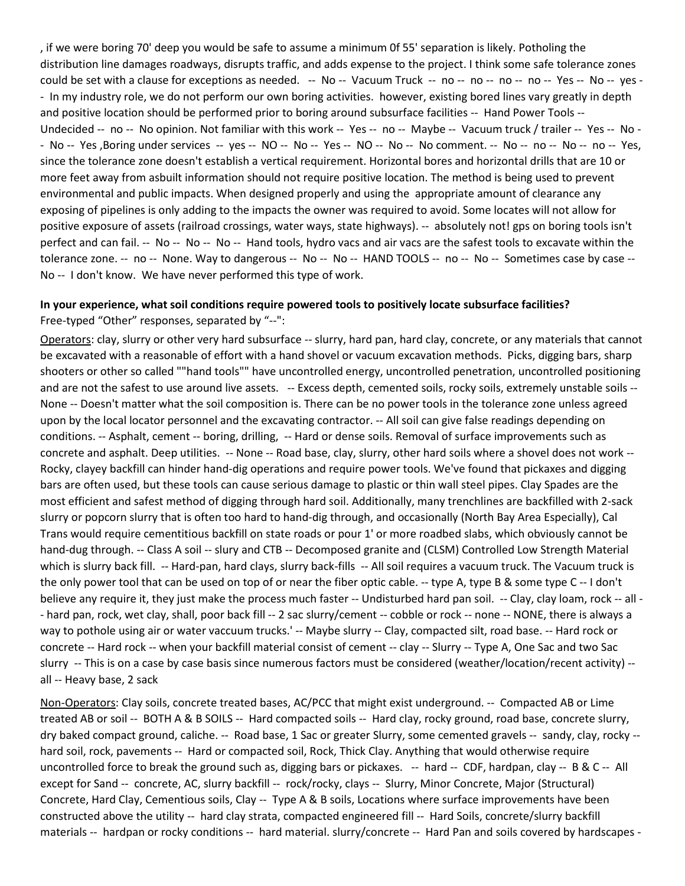could be set with a clause for exceptions as needed. -- No -- Vacuum Truck -- no -- no -- no -- no -- Yes -- No -- yes - - In my industry role, we do not perform our own boring activities. however, existing bored lines vary greatly in depth and positive location should be performed prior to boring around subsurface facilities -- Hand Power Tools -- Undecided -- no -- No opinion. Not familiar with this work -- Yes -- no -- Maybe -- Vacuum truck / trailer -- Yes -- No - - No -- Yes ,Boring under services -- yes -- NO -- No -- Yes -- NO -- No -- No comment. -- No -- no -- No -- no -- Yes, since the tolerance zone doesn't establish a vertical requirement. Horizontal bores and horizontal drills that are 10 or more feet away from asbuilt information should not require positive location. The method is being used to prevent positive exposure of assets (railroad crossings, water ways, state highways). -- absolutely not! gps on boring tools isn't perfect and can fail. -- No -- No -- No -- Hand tools, hydro vacs and air vacs are the safest tools to excavate within the tolerance zone. -- no -- None. Way to dangerous -- No -- No -- HAND TOOLS -- no -- No -- Sometimes case by case -- No -- I don't know. We have never performed this type of work. , if we were boring 70' deep you would be safe to assume a minimum 0f 55' separation is likely. Potholing the distribution line damages roadways, disrupts traffic, and adds expense to the project. I think some safe tolerance zones environmental and public impacts. When designed properly and using the appropriate amount of clearance any exposing of pipelines is only adding to the impacts the owner was required to avoid. Some locates will not allow for

#### **In your experience, what soil conditions require powered tools to positively locate subsurface facilities?**

Free-typed "Other" responses, separated by "--":

Operators: clay, slurry or other very hard subsurface -- slurry, hard pan, hard clay, concrete, or any materials that cannot be excavated with a reasonable of effort with a hand shovel or vacuum excavation methods. Picks, digging bars, sharp and are not the safest to use around live assets. -- Excess depth, cemented soils, rocky soils, extremely unstable soils -- None -- Doesn't matter what the soil composition is. There can be no power tools in the tolerance zone unless agreed conditions. -- Asphalt, cement -- boring, drilling, -- Hard or dense soils. Removal of surface improvements such as concrete and asphalt. Deep utilities. -- None -- Road base, clay, slurry, other hard soils where a shovel does not work -- Rocky, clayey backfill can hinder hand-dig operations and require power tools. We've found that pickaxes and digging bars are often used, but these tools can cause serious damage to plastic or thin wall steel pipes. Clay Spades are the most efficient and safest method of digging through hard soil. Additionally, many trenchlines are backfilled with 2-sack slurry or popcorn slurry that is often too hard to hand-dig through, and occasionally (North Bay Area Especially), Cal Trans would require cementitious backfill on state roads or pour 1' or more roadbed slabs, which obviously cannot be hand-dug through. -- Class A soil -- slury and CTB -- Decomposed granite and (CLSM) Controlled Low Strength Material which is slurry back fill. -- Hard-pan, hard clays, slurry back-fills -- All soil requires a vacuum truck. The Vacuum truck is the only power tool that can be used on top of or near the fiber optic cable. -- type A, type B & some type C -- I don't believe any require it, they just make the process much faster -- Undisturbed hard pan soil. -- Clay, clay loam, rock -- all - - hard pan, rock, wet clay, shall, poor back fill -- 2 sac slurry/cement -- cobble or rock -- none -- NONE, there is always a way to pothole using air or water vaccuum trucks.' -- Maybe slurry -- Clay, compacted silt, road base. -- Hard rock or slurry -- This is on a case by case basis since numerous factors must be considered (weather/location/recent activity) - shooters or other so called ""hand tools"" have uncontrolled energy, uncontrolled penetration, uncontrolled positioning upon by the local locator personnel and the excavating contractor. -- All soil can give false readings depending on concrete -- Hard rock -- when your backfill material consist of cement -- clay -- Slurry -- Type A, One Sac and two Sac all -- Heavy base, 2 sack

Non-Operators: Clay soils, concrete treated bases, AC/PCC that might exist underground. -- Compacted AB or Lime treated AB or soil -- BOTH A & B SOILS -- Hard compacted soils -- Hard clay, rocky ground, road base, concrete slurry, dry baked compact ground, caliche. -- Road base, 1 Sac or greater Slurry, some cemented gravels -- sandy, clay, rocky -- hard soil, rock, pavements -- Hard or compacted soil, Rock, Thick Clay. Anything that would otherwise require uncontrolled force to break the ground such as, digging bars or pickaxes. -- hard -- CDF, hardpan, clay -- B & C -- All except for Sand -- concrete, AC, slurry backfill -- rock/rocky, clays -- Slurry, Minor Concrete, Major (Structural) Concrete, Hard Clay, Cementious soils, Clay -- Type A & B soils, Locations where surface improvements have been constructed above the utility -- hard clay strata, compacted engineered fill -- Hard Soils, concrete/slurry backfill materials -- hardpan or rocky conditions -- hard material. slurry/concrete -- Hard Pan and soils covered by hardscapes -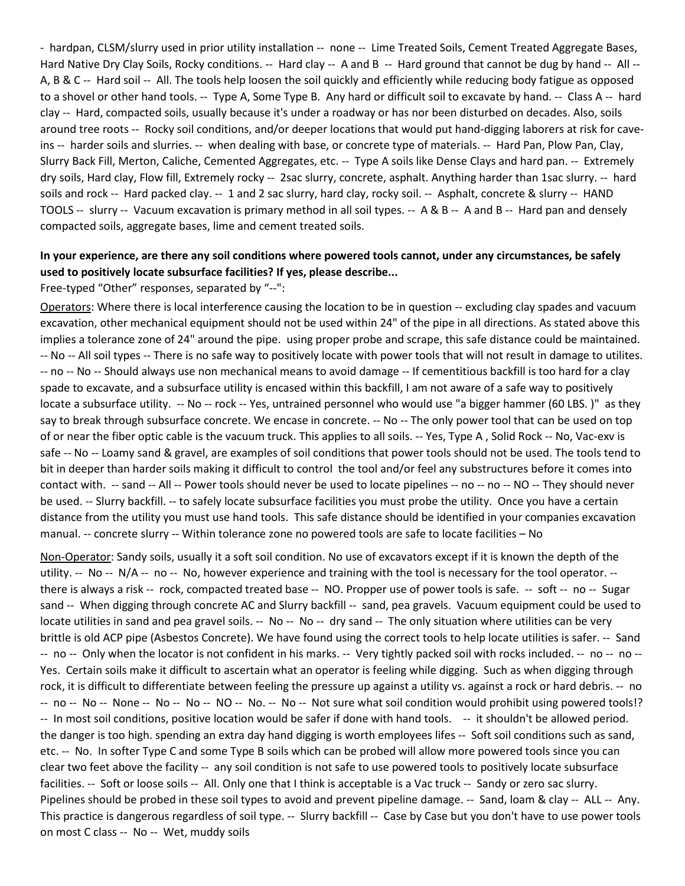- hardpan, CLSM/slurry used in prior utility installation -- none -- Lime Treated Soils, Cement Treated Aggregate Bases, Hard Native Dry Clay Soils, Rocky conditions. -- Hard clay -- A and B -- Hard ground that cannot be dug by hand -- All -- A, B & C -- Hard soil -- All. The tools help loosen the soil quickly and efficiently while reducing body fatigue as opposed to a shovel or other hand tools. -- Type A, Some Type B. Any hard or difficult soil to excavate by hand. -- Class A -- hard clay -- Hard, compacted soils, usually because it's under a roadway or has nor been disturbed on decades. Also, soils around tree roots -- Rocky soil conditions, and/or deeper locations that would put hand-digging laborers at risk for cave- ins -- harder soils and slurries. -- when dealing with base, or concrete type of materials. -- Hard Pan, Plow Pan, Clay, Slurry Back Fill, Merton, Caliche, Cemented Aggregates, etc. -- Type A soils like Dense Clays and hard pan. -- Extremely dry soils, Hard clay, Flow fill, Extremely rocky -- 2sac slurry, concrete, asphalt. Anything harder than 1sac slurry. -- hard soils and rock -- Hard packed clay. -- 1 and 2 sac slurry, hard clay, rocky soil. -- Asphalt, concrete & slurry -- HAND TOOLS -- slurry -- Vacuum excavation is primary method in all soil types. -- A & B -- A and B -- Hard pan and densely compacted soils, aggregate bases, lime and cement treated soils.

# **In your experience, are there any soil conditions where powered tools cannot, under any circumstances, be safely used to positively locate subsurface facilities? If yes, please describe...**

#### Free-typed "Other" responses, separated by "--":

 excavation, other mechanical equipment should not be used within 24" of the pipe in all directions. As stated above this implies a tolerance zone of 24" around the pipe. using proper probe and scrape, this safe distance could be maintained. spade to excavate, and a subsurface utility is encased within this backfill, I am not aware of a safe way to positively locate a subsurface utility. -- No -- rock -- Yes, untrained personnel who would use "a bigger hammer (60 LBS. )" as they say to break through subsurface concrete. We encase in concrete. -- No -- The only power tool that can be used on top safe -- No -- Loamy sand & gravel, are examples of soil conditions that power tools should not be used. The tools tend to contact with. -- sand -- All -- Power tools should never be used to locate pipelines -- no -- no -- NO -- They should never distance from the utility you must use hand tools. This safe distance should be identified in your companies excavation manual. -- concrete slurry -- Within tolerance zone no powered tools are safe to locate facilities – No Operators: Where there is local interference causing the location to be in question -- excluding clay spades and vacuum -- No -- All soil types -- There is no safe way to positively locate with power tools that will not result in damage to utilites. -- no -- No -- Should always use non mechanical means to avoid damage -- If cementitious backfill is too hard for a clay of or near the fiber optic cable is the vacuum truck. This applies to all soils. -- Yes, Type A , Solid Rock -- No, Vac-exv is bit in deeper than harder soils making it difficult to control the tool and/or feel any substructures before it comes into be used. -- Slurry backfill. -- to safely locate subsurface facilities you must probe the utility. Once you have a certain

 utility. -- No -- N/A -- no -- No, however experience and training with the tool is necessary for the tool operator. -- there is always a risk -- rock, compacted treated base -- NO. Propper use of power tools is safe. -- soft -- no -- Sugar sand -- When digging through concrete AC and Slurry backfill -- sand, pea gravels. Vacuum equipment could be used to locate utilities in sand and pea gravel soils. -- No -- No -- dry sand -- The only situation where utilities can be very brittle is old ACP pipe (Asbestos Concrete). We have found using the correct tools to help locate utilities is safer. -- Sand -- no -- Only when the locator is not confident in his marks. -- Very tightly packed soil with rocks included. -- no -- no -- rock, it is difficult to differentiate between feeling the pressure up against a utility vs. against a rock or hard debris. -- no -- no -- No -- None -- No -- No -- NO -- No. -- No -- Not sure what soil condition would prohibit using powered tools!? -- In most soil conditions, positive location would be safer if done with hand tools. -- it shouldn't be allowed period. the danger is too high. spending an extra day hand digging is worth employees lifes -- Soft soil conditions such as sand, etc. -- No. In softer Type C and some Type B soils which can be probed will allow more powered tools since you can clear two feet above the facility -- any soil condition is not safe to use powered tools to positively locate subsurface facilities. -- Soft or loose soils -- All. Only one that I think is acceptable is a Vac truck -- Sandy or zero sac slurry. Pipelines should be probed in these soil types to avoid and prevent pipeline damage. -- Sand, loam & clay -- ALL -- Any. This practice is dangerous regardless of soil type. -- Slurry backfill -- Case by Case but you don't have to use power tools on most C class -- No -- Wet, muddy soils Non-Operator: Sandy soils, usually it a soft soil condition. No use of excavators except if it is known the depth of the Yes. Certain soils make it difficult to ascertain what an operator is feeling while digging. Such as when digging through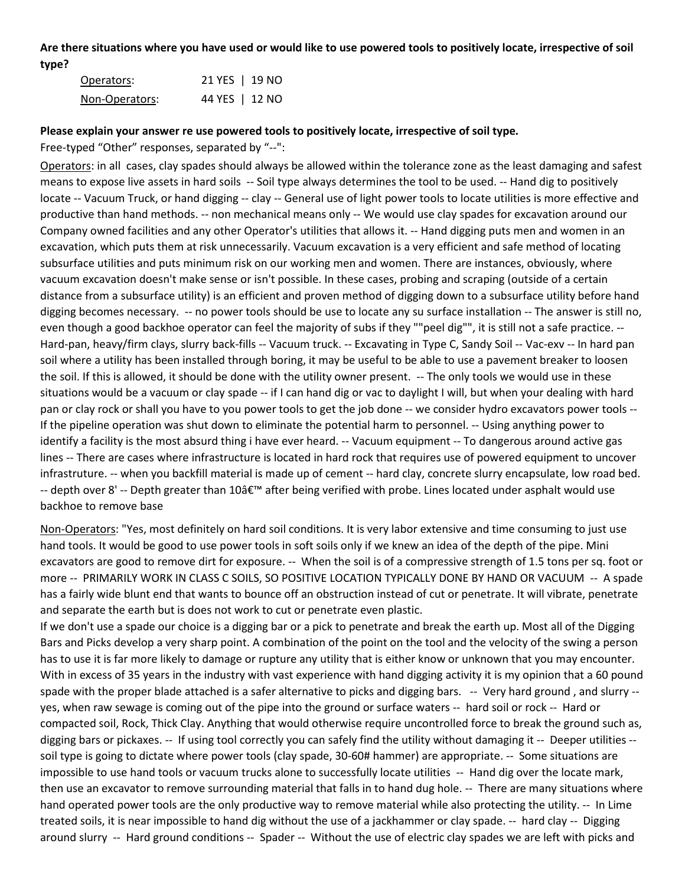**Are there situations where you have used or would like to use powered tools to positively locate, irrespective of soil type?** 

| Operators:     | 21 YES   19 NO |  |
|----------------|----------------|--|
| Non-Operators: | 44 YES   12 NO |  |

#### **Please explain your answer re use powered tools to positively locate, irrespective of soil type.**

Free-typed "Other" responses, separated by "--":

 means to expose live assets in hard soils -- Soil type always determines the tool to be used. -- Hand dig to positively productive than hand methods. -- non mechanical means only -- We would use clay spades for excavation around our excavation, which puts them at risk unnecessarily. Vacuum excavation is a very efficient and safe method of locating subsurface utilities and puts minimum risk on our working men and women. There are instances, obviously, where distance from a subsurface utility) is an efficient and proven method of digging down to a subsurface utility before hand digging becomes necessary. -- no power tools should be use to locate any su surface installation -- The answer is still no, even though a good backhoe operator can feel the majority of subs if they ""peel dig"", it is still not a safe practice. -- the soil. If this is allowed, it should be done with the utility owner present. -- The only tools we would use in these situations would be a vacuum or clay spade -- if I can hand dig or vac to daylight I will, but when your dealing with hard If the pipeline operation was shut down to eliminate the potential harm to personnel. -- Using anything power to identify a facility is the most absurd thing i have ever heard. -- Vacuum equipment -- To dangerous around active gas -- depth over 8' -- Depth greater than 10' after being verified with probe. Lines located under asphalt would use Operators: in all cases, clay spades should always be allowed within the tolerance zone as the least damaging and safest locate -- Vacuum Truck, or hand digging -- clay -- General use of light power tools to locate utilities is more effective and Company owned facilities and any other Operator's utilities that allows it. -- Hand digging puts men and women in an vacuum excavation doesn't make sense or isn't possible. In these cases, probing and scraping (outside of a certain Hard-pan, heavy/firm clays, slurry back-fills -- Vacuum truck. -- Excavating in Type C, Sandy Soil -- Vac-exv -- In hard pan soil where a utility has been installed through boring, it may be useful to be able to use a pavement breaker to loosen pan or clay rock or shall you have to you power tools to get the job done -- we consider hydro excavators power tools - lines -- There are cases where infrastructure is located in hard rock that requires use of powered equipment to uncover infrastruture. -- when you backfill material is made up of cement -- hard clay, concrete slurry encapsulate, low road bed. backhoe to remove base

Non-Operators: "Yes, most definitely on hard soil conditions. It is very labor extensive and time consuming to just use excavators are good to remove dirt for exposure. -- When the soil is of a compressive strength of 1.5 tons per sq. foot or more -- PRIMARILY WORK IN CLASS C SOILS, SO POSITIVE LOCATION TYPICALLY DONE BY HAND OR VACUUM -- A spade hand tools. It would be good to use power tools in soft soils only if we knew an idea of the depth of the pipe. Mini has a fairly wide blunt end that wants to bounce off an obstruction instead of cut or penetrate. It will vibrate, penetrate and separate the earth but is does not work to cut or penetrate even plastic.

 If we don't use a spade our choice is a digging bar or a pick to penetrate and break the earth up. Most all of the Digging Bars and Picks develop a very sharp point. A combination of the point on the tool and the velocity of the swing a person has to use it is far more likely to damage or rupture any utility that is either know or unknown that you may encounter. With in excess of 35 years in the industry with vast experience with hand digging activity it is my opinion that a 60 pound spade with the proper blade attached is a safer alternative to picks and digging bars. -- Very hard ground, and slurry -- yes, when raw sewage is coming out of the pipe into the ground or surface waters -- hard soil or rock -- Hard or compacted soil, Rock, Thick Clay. Anything that would otherwise require uncontrolled force to break the ground such as, digging bars or pickaxes. -- If using tool correctly you can safely find the utility without damaging it -- Deeper utilities -- soil type is going to dictate where power tools (clay spade, 30-60# hammer) are appropriate. -- Some situations are impossible to use hand tools or vacuum trucks alone to successfully locate utilities -- Hand dig over the locate mark, then use an excavator to remove surrounding material that falls in to hand dug hole. -- There are many situations where hand operated power tools are the only productive way to remove material while also protecting the utility. -- In Lime treated soils, it is near impossible to hand dig without the use of a jackhammer or clay spade. -- hard clay -- Digging around slurry -- Hard ground conditions -- Spader -- Without the use of electric clay spades we are left with picks and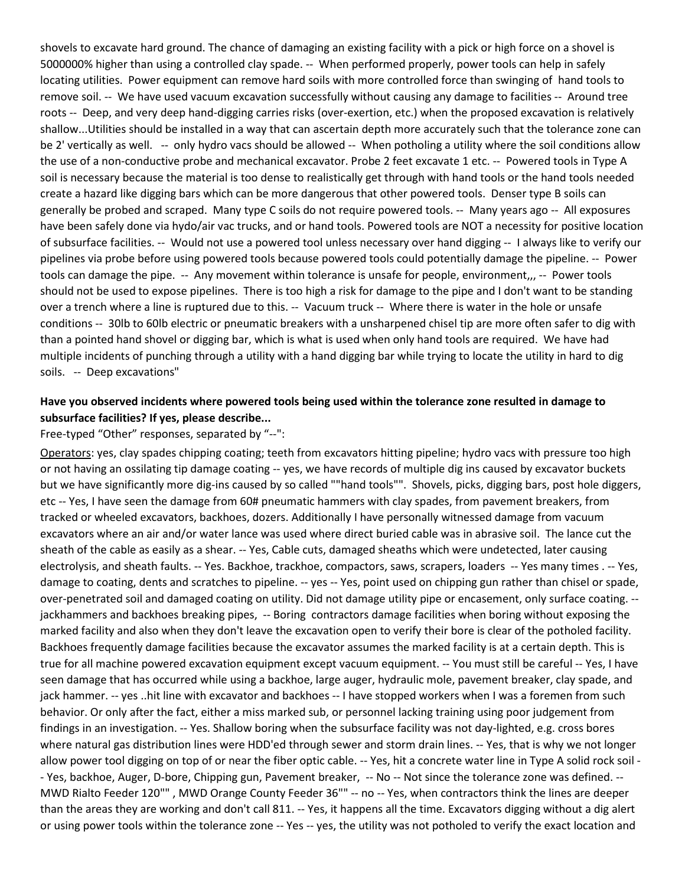shovels to excavate hard ground. The chance of damaging an existing facility with a pick or high force on a shovel is 5000000% higher than using a controlled clay spade. -- When performed properly, power tools can help in safely locating utilities. Power equipment can remove hard soils with more controlled force than swinging of hand tools to remove soil. -- We have used vacuum excavation successfully without causing any damage to facilities -- Around tree roots -- Deep, and very deep hand-digging carries risks (over-exertion, etc.) when the proposed excavation is relatively shallow...Utilities should be installed in a way that can ascertain depth more accurately such that the tolerance zone can be 2' vertically as well. -- only hydro vacs should be allowed -- When potholing a utility where the soil conditions allow the use of a non-conductive probe and mechanical excavator. Probe 2 feet excavate 1 etc. -- Powered tools in Type A create a hazard like digging bars which can be more dangerous that other powered tools. Denser type B soils can generally be probed and scraped. Many type C soils do not require powered tools. -- Many years ago -- All exposures have been safely done via hydo/air vac trucks, and or hand tools. Powered tools are NOT a necessity for positive location of subsurface facilities. -- Would not use a powered tool unless necessary over hand digging -- I always like to verify our pipelines via probe before using powered tools because powered tools could potentially damage the pipeline. -- Power tools can damage the pipe. -- Any movement within tolerance is unsafe for people, environment,,, -- Power tools over a trench where a line is ruptured due to this. -- Vacuum truck -- Where there is water in the hole or unsafe conditions -- 30lb to 60lb electric or pneumatic breakers with a unsharpened chisel tip are more often safer to dig with than a pointed hand shovel or digging bar, which is what is used when only hand tools are required. We have had soils. -- Deep excavations" soil is necessary because the material is too dense to realistically get through with hand tools or the hand tools needed should not be used to expose pipelines. There is too high a risk for damage to the pipe and I don't want to be standing multiple incidents of punching through a utility with a hand digging bar while trying to locate the utility in hard to dig

# **Have you observed incidents where powered tools being used within the tolerance zone resulted in damage to subsurface facilities? If yes, please describe...**

#### Free-typed "Other" responses, separated by "--":

Operators: yes, clay spades chipping coating; teeth from excavators hitting pipeline; hydro vacs with pressure too high tracked or wheeled excavators, backhoes, dozers. Additionally I have personally witnessed damage from vacuum excavators where an air and/or water lance was used where direct buried cable was in abrasive soil. The lance cut the sheath of the cable as easily as a shear. -- Yes, Cable cuts, damaged sheaths which were undetected, later causing electrolysis, and sheath faults. -- Yes. Backhoe, trackhoe, compactors, saws, scrapers, loaders -- Yes many times . -- Yes, damage to coating, dents and scratches to pipeline. -- yes -- Yes, point used on chipping gun rather than chisel or spade, jackhammers and backhoes breaking pipes, -- Boring contractors damage facilities when boring without exposing the seen damage that has occurred while using a backhoe, large auger, hydraulic mole, pavement breaker, clay spade, and where natural gas distribution lines were HDD'ed through sewer and storm drain lines. -- Yes, that is why we not longer - Yes, backhoe, Auger, D-bore, Chipping gun, Pavement breaker, -- No -- Not since the tolerance zone was defined. -- MWD Rialto Feeder 120"" , MWD Orange County Feeder 36"" -- no -- Yes, when contractors think the lines are deeper than the areas they are working and don't call 811. -- Yes, it happens all the time. Excavators digging without a dig alert or not having an ossilating tip damage coating -- yes, we have records of multiple dig ins caused by excavator buckets but we have significantly more dig-ins caused by so called ""hand tools"". Shovels, picks, digging bars, post hole diggers, etc -- Yes, I have seen the damage from 60# pneumatic hammers with clay spades, from pavement breakers, from over-penetrated soil and damaged coating on utility. Did not damage utility pipe or encasement, only surface coating. - marked facility and also when they don't leave the excavation open to verify their bore is clear of the potholed facility. Backhoes frequently damage facilities because the excavator assumes the marked facility is at a certain depth. This is true for all machine powered excavation equipment except vacuum equipment. -- You must still be careful -- Yes, I have jack hammer. -- yes ..hit line with excavator and backhoes -- I have stopped workers when I was a foremen from such behavior. Or only after the fact, either a miss marked sub, or personnel lacking training using poor judgement from findings in an investigation. -- Yes. Shallow boring when the subsurface facility was not day-lighted, e.g. cross bores allow power tool digging on top of or near the fiber optic cable. -- Yes, hit a concrete water line in Type A solid rock soil or using power tools within the tolerance zone -- Yes -- yes, the utility was not potholed to verify the exact location and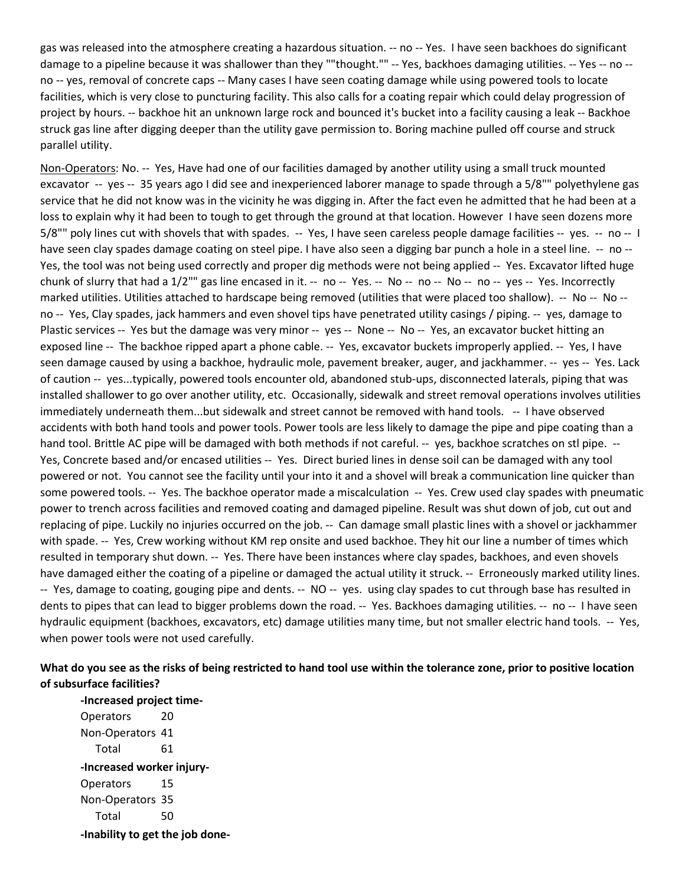facilities, which is very close to puncturing facility. This also calls for a coating repair which could delay progression of gas was released into the atmosphere creating a hazardous situation. -- no -- Yes. I have seen backhoes do significant damage to a pipeline because it was shallower than they ""thought."" -- Yes, backhoes damaging utilities. -- Yes -- no - no -- yes, removal of concrete caps -- Many cases I have seen coating damage while using powered tools to locate project by hours. -- backhoe hit an unknown large rock and bounced it's bucket into a facility causing a leak -- Backhoe struck gas line after digging deeper than the utility gave permission to. Boring machine pulled off course and struck parallel utility.

Non-Operators: No. -- Yes, Have had one of our facilities damaged by another utility using a small truck mounted excavator -- yes -- 35 years ago I did see and inexperienced laborer manage to spade through a 5/8"" polyethylene gas service that he did not know was in the vicinity he was digging in. After the fact even he admitted that he had been at a loss to explain why it had been to tough to get through the ground at that location. However I have seen dozens more 5/8"" poly lines cut with shovels that with spades. -- Yes, I have seen careless people damage facilities -- yes. -- no -- I have seen clay spades damage coating on steel pipe. I have also seen a digging bar punch a hole in a steel line. -- no -- Yes, the tool was not being used correctly and proper dig methods were not being applied -- Yes. Excavator lifted huge chunk of slurry that had a 1/2"" gas line encased in it. -- no -- Yes. -- No -- no -- No -- no -- yes -- Yes. Incorrectly marked utilities. Utilities attached to hardscape being removed (utilities that were placed too shallow). -- No -- No -- no -- Yes, Clay spades, jack hammers and even shovel tips have penetrated utility casings / piping. -- yes, damage to Plastic services -- Yes but the damage was very minor -- yes -- None -- No -- Yes, an excavator bucket hitting an exposed line -- The backhoe ripped apart a phone cable. -- Yes, excavator buckets improperly applied. -- Yes, I have seen damage caused by using a backhoe, hydraulic mole, pavement breaker, auger, and jackhammer. -- yes -- Yes. Lack of caution -- yes...typically, powered tools encounter old, abandoned stub-ups, disconnected laterals, piping that was installed shallower to go over another utility, etc. Occasionally, sidewalk and street removal operations involves utilities immediately underneath them...but sidewalk and street cannot be removed with hand tools. -- I have observed accidents with both hand tools and power tools. Power tools are less likely to damage the pipe and pipe coating than a hand tool. Brittle AC pipe will be damaged with both methods if not careful. -- yes, backhoe scratches on stl pipe. -- Yes, Concrete based and/or encased utilities -- Yes. Direct buried lines in dense soil can be damaged with any tool some powered tools. -- Yes. The backhoe operator made a miscalculation -- Yes. Crew used clay spades with pneumatic power to trench across facilities and removed coating and damaged pipeline. Result was shut down of job, cut out and replacing of pipe. Luckily no injuries occurred on the job. -- Can damage small plastic lines with a shovel or jackhammer with spade. -- Yes, Crew working without KM rep onsite and used backhoe. They hit our line a number of times which resulted in temporary shut down. -- Yes. There have been instances where clay spades, backhoes, and even shovels have damaged either the coating of a pipeline or damaged the actual utility it struck. -- Erroneously marked utility lines. -- Yes, damage to coating, gouging pipe and dents. -- NO -- yes. using clay spades to cut through base has resulted in dents to pipes that can lead to bigger problems down the road. -- Yes. Backhoes damaging utilities. -- no -- I have seen hydraulic equipment (backhoes, excavators, etc) damage utilities many time, but not smaller electric hand tools. -- Yes, powered or not. You cannot see the facility until your into it and a shovel will break a communication line quicker than when power tools were not used carefully.

# **What do you see as the risks of being restricted to hand tool use within the tolerance zone, prior to positive location of subsurface facilities?**

 Non-Operators 41 Operators 15 Non-Operators 35  **-Inability to get the job done--Increased project time-**Operators 20 Total 61 **-Increased worker injury-**Total 50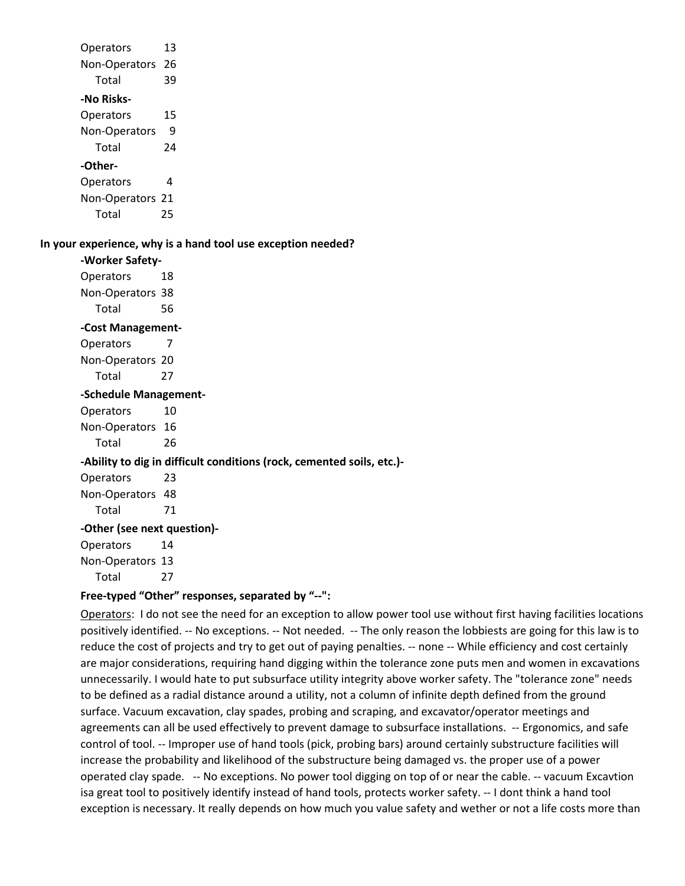| Operators                                                    | 13                                                                    |  |  |
|--------------------------------------------------------------|-----------------------------------------------------------------------|--|--|
| Non-Operators 26                                             |                                                                       |  |  |
| Total                                                        | 39                                                                    |  |  |
| -No Risks-                                                   |                                                                       |  |  |
| Operators                                                    | 15                                                                    |  |  |
| Non-Operators                                                | 9                                                                     |  |  |
| Total                                                        | 24                                                                    |  |  |
| -Other-                                                      |                                                                       |  |  |
| Operators                                                    | 4                                                                     |  |  |
| Non-Operators 21                                             |                                                                       |  |  |
| Total                                                        | 25                                                                    |  |  |
|                                                              |                                                                       |  |  |
| In your experience, why is a hand tool use exception needed? |                                                                       |  |  |
| -Worker Safety-                                              |                                                                       |  |  |
| Operators                                                    | 18                                                                    |  |  |
| Non-Operators 38                                             |                                                                       |  |  |
| Total                                                        | 56                                                                    |  |  |
| -Cost Management-                                            |                                                                       |  |  |
| Operators                                                    | 7                                                                     |  |  |
| Non-Operators 20                                             |                                                                       |  |  |
| Total                                                        | 27                                                                    |  |  |
|                                                              | -Schedule Management-                                                 |  |  |
| Operators                                                    | 10                                                                    |  |  |
| Non-Operators 16                                             |                                                                       |  |  |
| Total                                                        | 26                                                                    |  |  |
|                                                              | -Ability to dig in difficult conditions (rock, cemented soils, etc.)- |  |  |
| Operators                                                    | 23                                                                    |  |  |
| Non-Operators 48                                             |                                                                       |  |  |
| Total                                                        | 71                                                                    |  |  |
|                                                              | -Other (see next question)-                                           |  |  |
| Operators                                                    | 14                                                                    |  |  |
| Non-Operators 13                                             |                                                                       |  |  |
| Total                                                        | 27                                                                    |  |  |
| н.,                                                          | المستعمل المتحال المستعمل والمستعمل                                   |  |  |

# **Free-typed "Other" responses, separated by "--":**

Operators: I do not see the need for an exception to allow power tool use without first having facilities locations positively identified. -- No exceptions. -- Not needed. -- The only reason the lobbiests are going for this law is to reduce the cost of projects and try to get out of paying penalties. -- none -- While efficiency and cost certainly are major considerations, requiring hand digging within the tolerance zone puts men and women in excavations to be defined as a radial distance around a utility, not a column of infinite depth defined from the ground agreements can all be used effectively to prevent damage to subsurface installations. -- Ergonomics, and safe control of tool. -- Improper use of hand tools (pick, probing bars) around certainly substructure facilities will increase the probability and likelihood of the substructure being damaged vs. the proper use of a power operated clay spade. -- No exceptions. No power tool digging on top of or near the cable. -- vacuum Excavtion exception is necessary. It really depends on how much you value safety and wether or not a life costs more than unnecessarily. I would hate to put subsurface utility integrity above worker safety. The "tolerance zone" needs surface. Vacuum excavation, clay spades, probing and scraping, and excavator/operator meetings and isa great tool to positively identify instead of hand tools, protects worker safety. -- I dont think a hand tool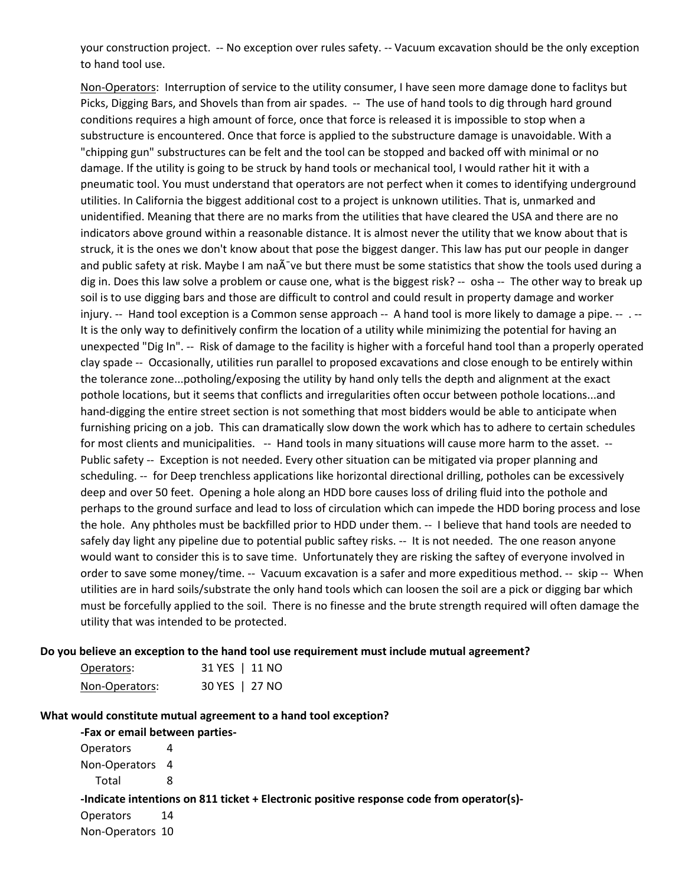your construction project. -- No exception over rules safety. -- Vacuum excavation should be the only exception to hand tool use.

Non-Operators: Interruption of service to the utility consumer, I have seen more damage done to faclitys but Picks, Digging Bars, and Shovels than from air spades. -- The use of hand tools to dig through hard ground conditions requires a high amount of force, once that force is released it is impossible to stop when a substructure is encountered. Once that force is applied to the substructure damage is unavoidable. With a "chipping gun" substructures can be felt and the tool can be stopped and backed off with minimal or no pneumatic tool. You must understand that operators are not perfect when it comes to identifying underground indicators above ground within a reasonable distance. It is almost never the utility that we know about that is struck, it is the ones we don't know about that pose the biggest danger. This law has put our people in danger dig in. Does this law solve a problem or cause one, what is the biggest risk? -- osha -- The other way to break up injury. -- Hand tool exception is a Common sense approach -- A hand tool is more likely to damage a pipe. -- . -- unexpected "Dig In". -- Risk of damage to the facility is higher with a forceful hand tool than a properly operated clay spade -- Occasionally, utilities run parallel to proposed excavations and close enough to be entirely within pothole locations, but it seems that conflicts and irregularities often occur between pothole locations...and hand-digging the entire street section is not something that most bidders would be able to anticipate when for most clients and municipalities. -- Hand tools in many situations will cause more harm to the asset. -- Public safety -- Exception is not needed. Every other situation can be mitigated via proper planning and scheduling. -- for Deep trenchless applications like horizontal directional drilling, potholes can be excessively the hole. Any phtholes must be backfilled prior to HDD under them. -- I believe that hand tools are needed to safely day light any pipeline due to potential public saftey risks. -- It is not needed. The one reason anyone would want to consider this is to save time. Unfortunately they are risking the saftey of everyone involved in order to save some money/time. -- Vacuum excavation is a safer and more expeditious method. -- skip -- When utilities are in hard soils/substrate the only hand tools which can loosen the soil are a pick or digging bar which must be forcefully applied to the soil. There is no finesse and the brute strength required will often damage the utility that was intended to be protected. damage. If the utility is going to be struck by hand tools or mechanical tool, I would rather hit it with a utilities. In California the biggest additional cost to a project is unknown utilities. That is, unmarked and unidentified. Meaning that there are no marks from the utilities that have cleared the USA and there are no and public safety at risk. Maybe I am na $\tilde{A}$  ve but there must be some statistics that show the tools used during a soil is to use digging bars and those are difficult to control and could result in property damage and worker It is the only way to definitively confirm the location of a utility while minimizing the potential for having an the tolerance zone...potholing/exposing the utility by hand only tells the depth and alignment at the exact furnishing pricing on a job. This can dramatically slow down the work which has to adhere to certain schedules deep and over 50 feet. Opening a hole along an HDD bore causes loss of driling fluid into the pothole and perhaps to the ground surface and lead to loss of circulation which can impede the HDD boring process and lose

#### **Do you believe an exception to the hand tool use requirement must include mutual agreement?**

| Operators:     | 31 YES   11 NO |  |
|----------------|----------------|--|
| Non-Operators: | 30 YES   27 NO |  |

#### **What would constitute mutual agreement to a hand tool exception?**

**-Fax or email between parties-**

| <b>Operators</b> | 4                                                                                        |
|------------------|------------------------------------------------------------------------------------------|
| Non-Operators 4  |                                                                                          |
| Total            |                                                                                          |
|                  | -Indicate intentions on 811 ticket + Electronic positive response code from operator(s)- |
| <b>Operators</b> | -14                                                                                      |
| Non-Operators 10 |                                                                                          |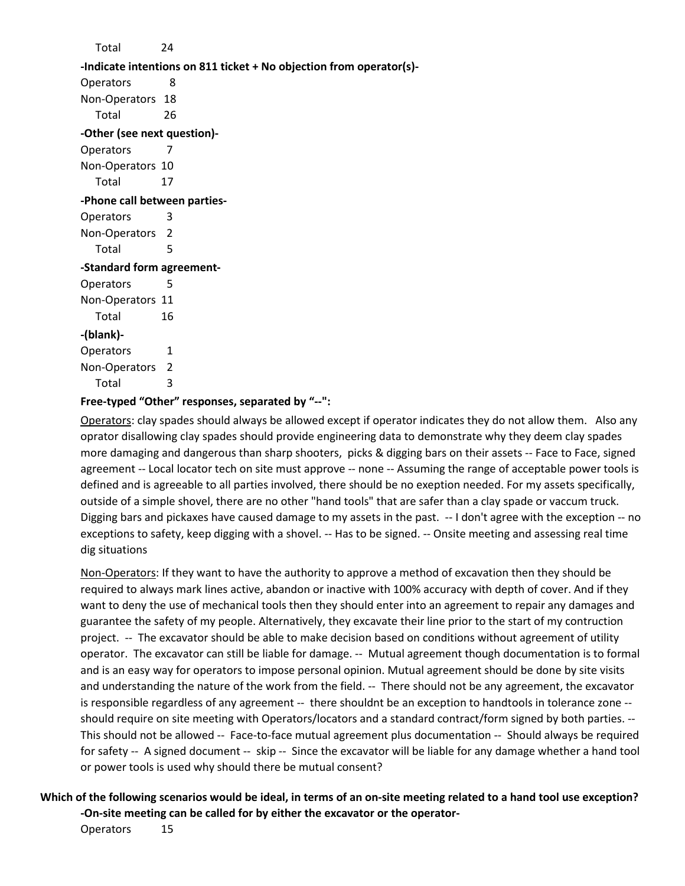Total 24 **-Indicate intentions on 811 ticket + No objection from operator(s)-** Operators 8 Non-Operators 18 Total 26 **-Other (see next question)-** Operators 7 Non-Operators 10 Total 17 **-Phone call between parties-**Operators 3 Non-Operators 2 Total 5 **-Standard form agreement-**Operators 5 Non-Operators 11 Total 16 **-(blank)-** Operators 1 Non-Operators 2 Total 3 **Free-typed "Other" responses, separated by "--":** 

Operators: clay spades should always be allowed except if operator indicates they do not allow them. Also any more damaging and dangerous than sharp shooters, picks & digging bars on their assets -- Face to Face, signed agreement -- Local locator tech on site must approve -- none -- Assuming the range of acceptable power tools is Digging bars and pickaxes have caused damage to my assets in the past. -- I don't agree with the exception -- no exceptions to safety, keep digging with a shovel. -- Has to be signed. -- Onsite meeting and assessing real time oprator disallowing clay spades should provide engineering data to demonstrate why they deem clay spades defined and is agreeable to all parties involved, there should be no exeption needed. For my assets specifically, outside of a simple shovel, there are no other "hand tools" that are safer than a clay spade or vaccum truck. dig situations

Non-Operators: If they want to have the authority to approve a method of excavation then they should be required to always mark lines active, abandon or inactive with 100% accuracy with depth of cover. And if they want to deny the use of mechanical tools then they should enter into an agreement to repair any damages and project. -- The excavator should be able to make decision based on conditions without agreement of utility operator. The excavator can still be liable for damage. -- Mutual agreement though documentation is to formal and understanding the nature of the work from the field. -- There should not be any agreement, the excavator is responsible regardless of any agreement -- there shouldnt be an exception to handtools in tolerance zone -- should require on site meeting with Operators/locators and a standard contract/form signed by both parties. -- This should not be allowed -- Face-to-face mutual agreement plus documentation -- Should always be required for safety -- A signed document -- skip -- Since the excavator will be liable for any damage whether a hand tool or power tools is used why should there be mutual consent? guarantee the safety of my people. Alternatively, they excavate their line prior to the start of my contruction and is an easy way for operators to impose personal opinion. Mutual agreement should be done by site visits

 **Which of the following scenarios would be ideal, in terms of an on-site meeting related to a hand tool use exception? -On-site meeting can be called for by either the excavator or the operator-**

Operators 15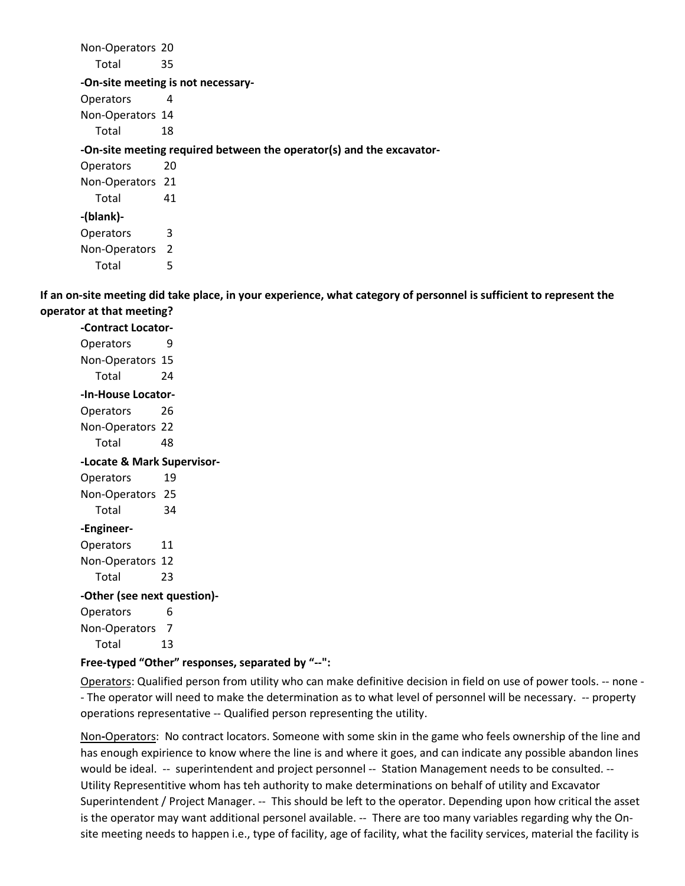Non-Operators 20 Total 35 Non-Operators 14 Non-Operators 21 Total 41 **-On-site meeting is not necessary-**Operators 4 Total 18 **-On-site meeting required between the operator(s) and the excavator-**Operators 20 **-(blank)-** Operators 3

**If an on-site meeting did take place, in your experience, what category of personnel is sufficient to represent the operator at that meeting?** 

**-Contract Locator-**Operators 9 Non-Operators 15 Total 24 **-In-House Locator-**Operators 26 Non-Operators 22 Total 48 **-Locate & Mark Supervisor-**Operators 19 Non-Operators 25 Total 34 **-Engineer-**Operators 11 Non-Operators 12 Total 23 **-Other (see next question)-** Operators 6 Non-Operators 7 Total 13

Non-Operators 2

Total 5

#### **Free-typed "Other" responses, separated by "--":**

Operators: Qualified person from utility who can make definitive decision in field on use of power tools. -- none - - The operator will need to make the determination as to what level of personnel will be necessary. -- property operations representative -- Qualified person representing the utility.

Non**-**Operators: No contract locators. Someone with some skin in the game who feels ownership of the line and has enough expirience to know where the line is and where it goes, and can indicate any possible abandon lines would be ideal. -- superintendent and project personnel -- Station Management needs to be consulted. -- Utility Representitive whom has teh authority to make determinations on behalf of utility and Excavator Superintendent / Project Manager. -- This should be left to the operator. Depending upon how critical the asset is the operator may want additional personel available. -- There are too many variables regarding why the Onsite meeting needs to happen i.e., type of facility, age of facility, what the facility services, material the facility is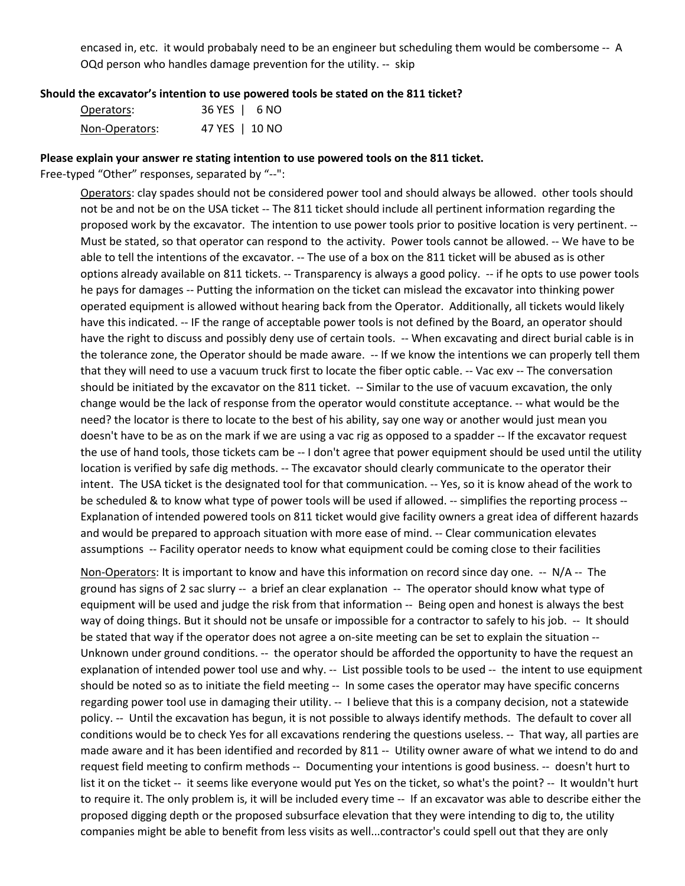encased in, etc. it would probabaly need to be an engineer but scheduling them would be combersome -- A OQd person who handles damage prevention for the utility. -- skip

#### **Should the excavator's intention to use powered tools be stated on the 811 ticket?**

| Operators:     | 36 YES   6 NO  |  |
|----------------|----------------|--|
| Non-Operators: | 47 YES   10 NO |  |

#### **Please explain your answer re stating intention to use powered tools on the 811 ticket.**

Free-typed "Other" responses, separated by "--":

Operators: clay spades should not be considered power tool and should always be allowed. other tools should Must be stated, so that operator can respond to the activity. Power tools cannot be allowed. -- We have to be options already available on 811 tickets. -- Transparency is always a good policy. -- if he opts to use power tools he pays for damages -- Putting the information on the ticket can mislead the excavator into thinking power have this indicated. -- IF the range of acceptable power tools is not defined by the Board, an operator should have the right to discuss and possibly deny use of certain tools. -- When excavating and direct burial cable is in the tolerance zone, the Operator should be made aware. -- If we know the intentions we can properly tell them that they will need to use a vacuum truck first to locate the fiber optic cable. -- Vac exv -- The conversation should be initiated by the excavator on the 811 ticket. -- Similar to the use of vacuum excavation, the only change would be the lack of response from the operator would constitute acceptance. -- what would be the need? the locator is there to locate to the best of his ability, say one way or another would just mean you doesn't have to be as on the mark if we are using a vac rig as opposed to a spadder -- If the excavator request the use of hand tools, those tickets cam be -- I don't agree that power equipment should be used until the utility location is verified by safe dig methods. -- The excavator should clearly communicate to the operator their intent. The USA ticket is the designated tool for that communication. -- Yes, so it is know ahead of the work to be scheduled & to know what type of power tools will be used if allowed. -- simplifies the reporting process -- Explanation of intended powered tools on 811 ticket would give facility owners a great idea of different hazards and would be prepared to approach situation with more ease of mind. -- Clear communication elevates assumptions -- Facility operator needs to know what equipment could be coming close to their facilities not be and not be on the USA ticket -- The 811 ticket should include all pertinent information regarding the proposed work by the excavator. The intention to use power tools prior to positive location is very pertinent. - able to tell the intentions of the excavator. -- The use of a box on the 811 ticket will be abused as is other operated equipment is allowed without hearing back from the Operator. Additionally, all tickets would likely

Non-Operators: It is important to know and have this information on record since day one. -- N/A -- The ground has signs of 2 sac slurry -- a brief an clear explanation -- The operator should know what type of equipment will be used and judge the risk from that information -- Being open and honest is always the best way of doing things. But it should not be unsafe or impossible for a contractor to safely to his job. -- It should be stated that way if the operator does not agree a on-site meeting can be set to explain the situation -- Unknown under ground conditions. -- the operator should be afforded the opportunity to have the request an explanation of intended power tool use and why. -- List possible tools to be used -- the intent to use equipment should be noted so as to initiate the field meeting -- In some cases the operator may have specific concerns regarding power tool use in damaging their utility. -- I believe that this is a company decision, not a statewide policy. -- Until the excavation has begun, it is not possible to always identify methods. The default to cover all conditions would be to check Yes for all excavations rendering the questions useless. -- That way, all parties are made aware and it has been identified and recorded by 811 -- Utility owner aware of what we intend to do and request field meeting to confirm methods -- Documenting your intentions is good business. -- doesn't hurt to list it on the ticket -- it seems like everyone would put Yes on the ticket, so what's the point? -- It wouldn't hurt to require it. The only problem is, it will be included every time -- If an excavator was able to describe either the proposed digging depth or the proposed subsurface elevation that they were intending to dig to, the utility companies might be able to benefit from less visits as well...contractor's could spell out that they are only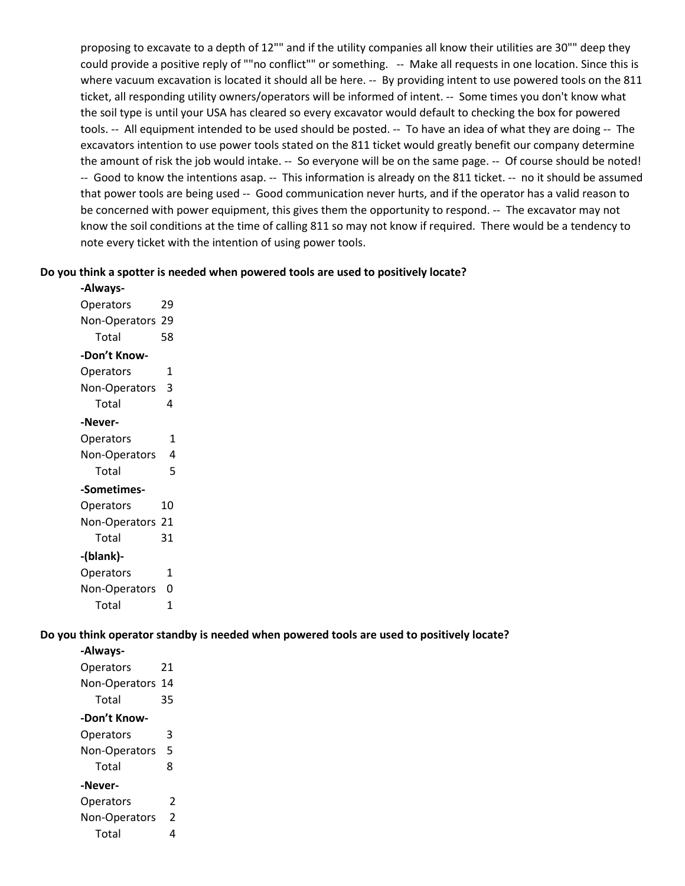proposing to excavate to a depth of 12"" and if the utility companies all know their utilities are 30"" deep they could provide a positive reply of ""no conflict"" or something. -- Make all requests in one location. Since this is where vacuum excavation is located it should all be here. -- By providing intent to use powered tools on the 811 ticket, all responding utility owners/operators will be informed of intent. -- Some times you don't know what tools. -- All equipment intended to be used should be posted. -- To have an idea of what they are doing -- The the amount of risk the job would intake. -- So everyone will be on the same page. -- Of course should be noted! -- Good to know the intentions asap. -- This information is already on the 811 ticket. -- no it should be assumed that power tools are being used -- Good communication never hurts, and if the operator has a valid reason to be concerned with power equipment, this gives them the opportunity to respond. -- The excavator may not know the soil conditions at the time of calling 811 so may not know if required. There would be a tendency to the soil type is until your USA has cleared so every excavator would default to checking the box for powered excavators intention to use power tools stated on the 811 ticket would greatly benefit our company determine note every ticket with the intention of using power tools.

#### **Do you think a spotter is needed when powered tools are used to positively locate?**

| -Always-         |    |
|------------------|----|
| Operators        | 29 |
| Non-Operators    | 29 |
| Total            | 58 |
| -Don't Know-     |    |
| Operators        | 1  |
| Non-Operators    | 3  |
| Total            | 4  |
| -Never-          |    |
| Operators        | 1  |
| Non-Operators    | 4  |
| Total            | 5  |
| -Sometimes-      |    |
| Operators        | 10 |
| Non-Operators 21 |    |
| Total            | 31 |
| -(blank)-        |    |
| Operators        | 1  |
| Non-Operators    | 0  |
| Total            | 1  |

**Do you think operator standby is needed when powered tools are used to positively locate?** 

| -Always-             |    |
|----------------------|----|
| Operators            | 21 |
| Non-Operators        | 14 |
| Total                | 35 |
| -Don't Know-         |    |
| Operators            | 3  |
| Non-Operators        | 5  |
| Total                | 8  |
| -Never-              |    |
| Operators            | 2  |
| <b>Non-Operators</b> | 2  |
| Total                | 4  |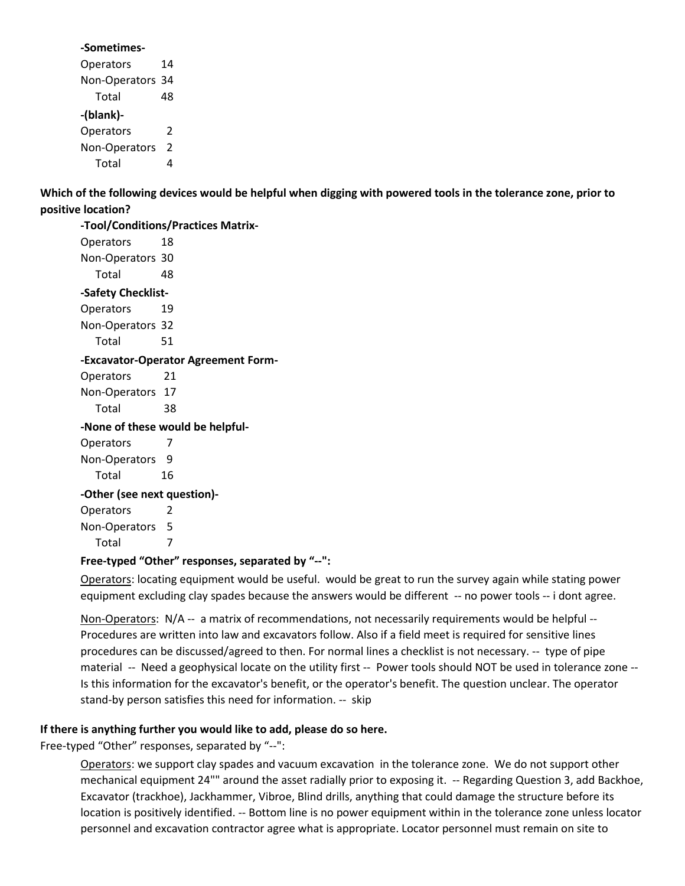#### **-Sometimes-**

| Operators        | 14 |
|------------------|----|
| Non-Operators 34 |    |
| Total            | 48 |
| -(blank)-        |    |
| Operators        | 2  |
| Non-Operators    | 2  |
| Total            |    |

 **Which of the following devices would be helpful when digging with powered tools in the tolerance zone, prior to positive location?** 

 Non-Operators 30 Operators 19 Non-Operators 32 Operators 21 Non-Operators 17 Non-Operators 9 Non-Operators 5 **-Tool/Conditions/Practices Matrix-**Operators 18 Total 48 **-Safety Checklist-**Total 51 **-Excavator-Operator Agreement Form-**Total 38 **-None of these would be helpful-**Operators 7 Total 16 **-Other (see next question)-** Operators 2

Total 7

# **Free-typed "Other" responses, separated by "--":**

 equipment excluding clay spades because the answers would be different -- no power tools -- i dont agree. Operators: locating equipment would be useful. would be great to run the survey again while stating power

Non-Operators: N/A -- a matrix of recommendations, not necessarily requirements would be helpful -- Procedures are written into law and excavators follow. Also if a field meet is required for sensitive lines procedures can be discussed/agreed to then. For normal lines a checklist is not necessary. -- type of pipe material -- Need a geophysical locate on the utility first -- Power tools should NOT be used in tolerance zone -- stand-by person satisfies this need for information. -- skip Is this information for the excavator's benefit, or the operator's benefit. The question unclear. The operator

# **If there is anything further you would like to add, please do so here.**

Free-typed "Other" responses, separated by "--":

 mechanical equipment 24"" around the asset radially prior to exposing it. -- Regarding Question 3, add Backhoe, personnel and excavation contractor agree what is appropriate. Locator personnel must remain on site to Operators: we support clay spades and vacuum excavation in the tolerance zone. We do not support other Excavator (trackhoe), Jackhammer, Vibroe, Blind drills, anything that could damage the structure before its location is positively identified. -- Bottom line is no power equipment within in the tolerance zone unless locator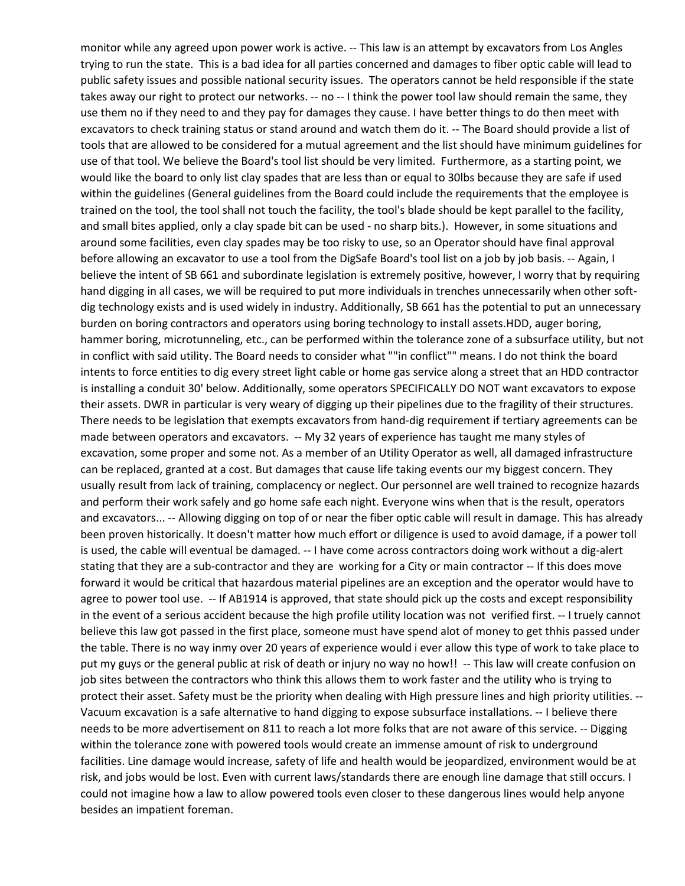monitor while any agreed upon power work is active. -- This law is an attempt by excavators from Los Angles trying to run the state. This is a bad idea for all parties concerned and damages to fiber optic cable will lead to public safety issues and possible national security issues. The operators cannot be held responsible if the state takes away our right to protect our networks. -- no -- I think the power tool law should remain the same, they use them no if they need to and they pay for damages they cause. I have better things to do then meet with excavators to check training status or stand around and watch them do it. -- The Board should provide a list of would like the board to only list clay spades that are less than or equal to 30lbs because they are safe if used trained on the tool, the tool shall not touch the facility, the tool's blade should be kept parallel to the facility, before allowing an excavator to use a tool from the DigSafe Board's tool list on a job by job basis. -- Again, I believe the intent of SB 661 and subordinate legislation is extremely positive, however, I worry that by requiring hand digging in all cases, we will be required to put more individuals in trenches unnecessarily when other soft- hammer boring, microtunneling, etc., can be performed within the tolerance zone of a subsurface utility, but not in conflict with said utility. The Board needs to consider what ""in conflict"" means. I do not think the board intents to force entities to dig every street light cable or home gas service along a street that an HDD contractor is installing a conduit 30' below. Additionally, some operators SPECIFICALLY DO NOT want excavators to expose their assets. DWR in particular is very weary of digging up their pipelines due to the fragility of their structures. made between operators and excavators. -- My 32 years of experience has taught me many styles of usually result from lack of training, complacency or neglect. Our personnel are well trained to recognize hazards and perform their work safely and go home safe each night. Everyone wins when that is the result, operators been proven historically. It doesn't matter how much effort or diligence is used to avoid damage, if a power toll stating that they are a sub-contractor and they are working for a City or main contractor -- If this does move forward it would be critical that hazardous material pipelines are an exception and the operator would have to agree to power tool use. -- If AB1914 is approved, that state should pick up the costs and except responsibility in the event of a serious accident because the high profile utility location was not verified first. -- I truely cannot believe this law got passed in the first place, someone must have spend alot of money to get thhis passed under the table. There is no way inmy over 20 years of experience would i ever allow this type of work to take place to put my guys or the general public at risk of death or injury no way no how!! -- This law will create confusion on protect their asset. Safety must be the priority when dealing with High pressure lines and high priority utilities. -- needs to be more advertisement on 811 to reach a lot more folks that are not aware of this service. -- Digging facilities. Line damage would increase, safety of life and health would be jeopardized, environment would be at risk, and jobs would be lost. Even with current laws/standards there are enough line damage that still occurs. I could not imagine how a law to allow powered tools even closer to these dangerous lines would help anyone tools that are allowed to be considered for a mutual agreement and the list should have minimum guidelines for use of that tool. We believe the Board's tool list should be very limited. Furthermore, as a starting point, we within the guidelines (General guidelines from the Board could include the requirements that the employee is and small bites applied, only a clay spade bit can be used - no sharp bits.). However, in some situations and around some facilities, even clay spades may be too risky to use, so an Operator should have final approval dig technology exists and is used widely in industry. Additionally, SB 661 has the potential to put an unnecessary burden on boring contractors and operators using boring technology to install assets.HDD, auger boring, There needs to be legislation that exempts excavators from hand-dig requirement if tertiary agreements can be excavation, some proper and some not. As a member of an Utility Operator as well, all damaged infrastructure can be replaced, granted at a cost. But damages that cause life taking events our my biggest concern. They and excavators... -- Allowing digging on top of or near the fiber optic cable will result in damage. This has already is used, the cable will eventual be damaged. -- I have come across contractors doing work without a dig-alert job sites between the contractors who think this allows them to work faster and the utility who is trying to Vacuum excavation is a safe alternative to hand digging to expose subsurface installations. -- I believe there within the tolerance zone with powered tools would create an immense amount of risk to underground besides an impatient foreman.